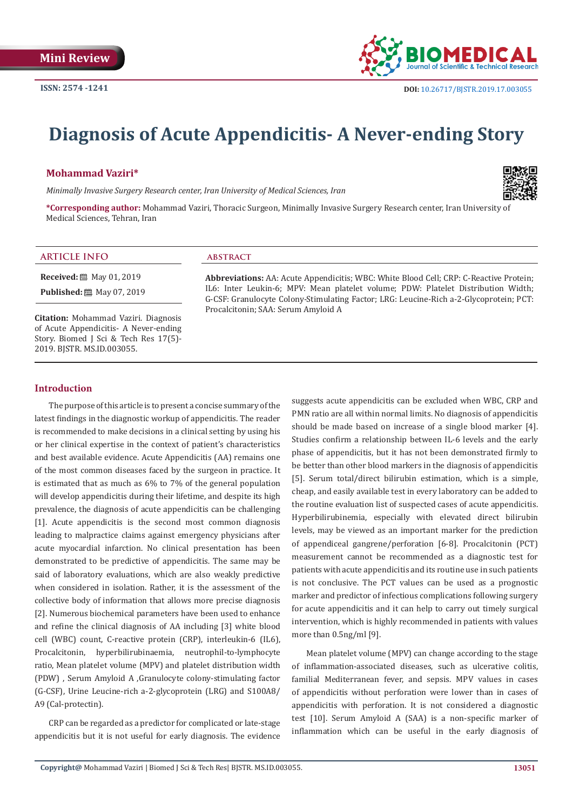

# **Diagnosis of Acute Appendicitis- A Never-ending Story**

# **Mohammad Vaziri\***

*Minimally Invasive Surgery Research center, Iran University of Medical Sciences, Iran*



**\*Corresponding author:** Mohammad Vaziri, Thoracic Surgeon, Minimally Invasive Surgery Research center, Iran University of Medical Sciences, Tehran, Iran

#### **ARTICLE INFO abstract**

**Received:** 圖 May 01, 2019

**Published:** ■ May 07, 2019

**Citation:** Mohammad Vaziri. Diagnosis of Acute Appendicitis- A Never-ending Story. Biomed J Sci & Tech Res 17(5)- 2019. BJSTR. MS.ID.003055.

**Abbreviations:** AA: Acute Appendicitis; WBC: White Blood Cell; CRP: C-Reactive Protein; IL6: Inter Leukin-6; MPV: Mean platelet volume; PDW: Platelet Distribution Width; G-CSF: Granulocyte Colony-Stimulating Factor; LRG: Leucine-Rich a-2-Glycoprotein; PCT: Procalcitonin; SAA: Serum Amyloid A

### **Introduction**

The purpose of this article is to present a concise summary of the latest findings in the diagnostic workup of appendicitis. The reader is recommended to make decisions in a clinical setting by using his or her clinical expertise in the context of patient's characteristics and best available evidence. Acute Appendicitis (AA) remains one of the most common diseases faced by the surgeon in practice. It is estimated that as much as 6% to 7% of the general population will develop appendicitis during their lifetime, and despite its high prevalence, the diagnosis of acute appendicitis can be challenging [1]. Acute appendicitis is the second most common diagnosis leading to malpractice claims against emergency physicians after acute myocardial infarction. No clinical presentation has been demonstrated to be predictive of appendicitis. The same may be said of laboratory evaluations, which are also weakly predictive when considered in isolation. Rather, it is the assessment of the collective body of information that allows more precise diagnosis [2]. Numerous biochemical parameters have been used to enhance and refine the clinical diagnosis of AA including [3] white blood cell (WBC) count, C-reactive protein (CRP), interleukin-6 (IL6), Procalcitonin, hyperbilirubinaemia, neutrophil-to-lymphocyte ratio, Mean platelet volume (MPV) and platelet distribution width (PDW) , Serum Amyloid A ,Granulocyte colony-stimulating factor (G-CSF), Urine Leucine-rich a-2-glycoprotein (LRG) and S100A8/ A9 (Cal-protectin).

CRP can be regarded as a predictor for complicated or late-stage appendicitis but it is not useful for early diagnosis. The evidence suggests acute appendicitis can be excluded when WBC, CRP and PMN ratio are all within normal limits. No diagnosis of appendicitis should be made based on increase of a single blood marker [4]. Studies confirm a relationship between IL-6 levels and the early phase of appendicitis, but it has not been demonstrated firmly to be better than other blood markers in the diagnosis of appendicitis [5]. Serum total/direct bilirubin estimation, which is a simple, cheap, and easily available test in every laboratory can be added to the routine evaluation list of suspected cases of acute appendicitis. Hyperbilirubinemia, especially with elevated direct bilirubin levels, may be viewed as an important marker for the prediction of appendiceal gangrene/perforation [6-8]. Procalcitonin (PCT) measurement cannot be recommended as a diagnostic test for patients with acute appendicitis and its routine use in such patients is not conclusive. The PCT values can be used as a prognostic marker and predictor of infectious complications following surgery for acute appendicitis and it can help to carry out timely surgical intervention, which is highly recommended in patients with values more than 0.5ng/ml [9].

Mean platelet volume (MPV) can change according to the stage of inflammation-associated diseases, such as ulcerative colitis, familial Mediterranean fever, and sepsis. MPV values in cases of appendicitis without perforation were lower than in cases of appendicitis with perforation. It is not considered a diagnostic test [10]. Serum Amyloid A (SAA) is a non-specific marker of inflammation which can be useful in the early diagnosis of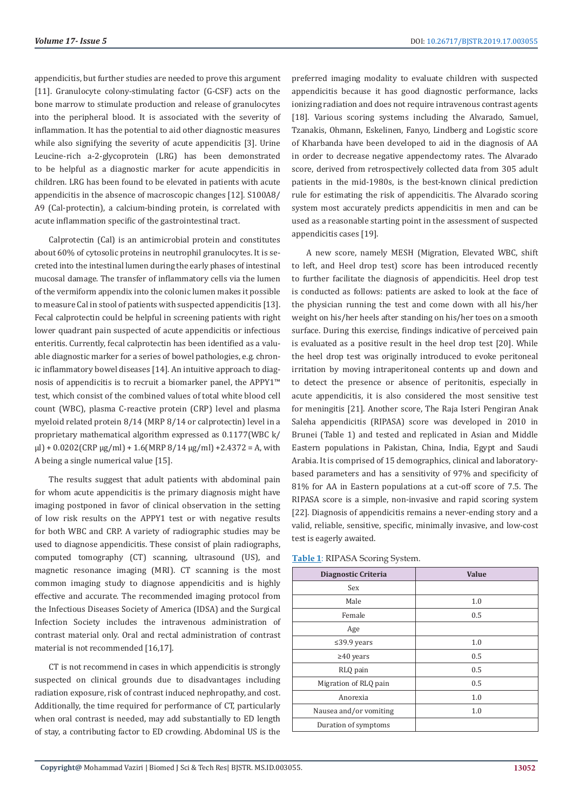appendicitis, but further studies are needed to prove this argument [11]. Granulocyte colony-stimulating factor (G-CSF) acts on the bone marrow to stimulate production and release of granulocytes into the peripheral blood. It is associated with the severity of inflammation. It has the potential to aid other diagnostic measures while also signifying the severity of acute appendicitis [3]. Urine Leucine-rich a-2-glycoprotein (LRG) has been demonstrated to be helpful as a diagnostic marker for acute appendicitis in children. LRG has been found to be elevated in patients with acute appendicitis in the absence of macroscopic changes [12]. S100A8/ A9 (Cal-protectin), a calcium-binding protein, is correlated with acute inflammation specific of the gastrointestinal tract.

Calprotectin (Cal) is an antimicrobial protein and constitutes about 60% of cytosolic proteins in neutrophil granulocytes. It is secreted into the intestinal lumen during the early phases of intestinal mucosal damage. The transfer of inflammatory cells via the lumen of the vermiform appendix into the colonic lumen makes it possible to measure Cal in stool of patients with suspected appendicitis [13]. Fecal calprotectin could be helpful in screening patients with right lower quadrant pain suspected of acute appendicitis or infectious enteritis. Currently, fecal calprotectin has been identified as a valuable diagnostic marker for a series of bowel pathologies, e.g. chronic inflammatory bowel diseases [14]. An intuitive approach to diagnosis of appendicitis is to recruit a biomarker panel, the APPY1™ test, which consist of the combined values of total white blood cell count (WBC), plasma C-reactive protein (CRP) level and plasma myeloid related protein 8/14 (MRP 8/14 or calprotectin) level in a proprietary mathematical algorithm expressed as 0.1177(WBC k/ μl) + 0.0202(CRP μg/ml) + 1.6(MRP 8/14 μg/ml) + 2.4372 = A, with A being a single numerical value [15].

The results suggest that adult patients with abdominal pain for whom acute appendicitis is the primary diagnosis might have imaging postponed in favor of clinical observation in the setting of low risk results on the APPY1 test or with negative results for both WBC and CRP. A variety of radiographic studies may be used to diagnose appendicitis. These consist of plain radiographs, computed tomography (CT) scanning, ultrasound (US), and magnetic resonance imaging (MRI). CT scanning is the most common imaging study to diagnose appendicitis and is highly effective and accurate. The recommended imaging protocol from the Infectious Diseases Society of America (IDSA) and the Surgical Infection Society includes the intravenous administration of contrast material only. Oral and rectal administration of contrast material is not recommended [16,17].

CT is not recommend in cases in which appendicitis is strongly suspected on clinical grounds due to disadvantages including radiation exposure, risk of contrast induced nephropathy, and cost. Additionally, the time required for performance of CT, particularly when oral contrast is needed, may add substantially to ED length of stay, a contributing factor to ED crowding. Abdominal US is the

preferred imaging modality to evaluate children with suspected appendicitis because it has good diagnostic performance, lacks ionizing radiation and does not require intravenous contrast agents [18]. Various scoring systems including the Alvarado, Samuel, Tzanakis, Ohmann, Eskelinen, Fanyo, Lindberg and Logistic score of Kharbanda have been developed to aid in the diagnosis of AA in order to decrease negative appendectomy rates. The Alvarado score, derived from retrospectively collected data from 305 adult patients in the mid-1980s, is the best-known clinical prediction rule for estimating the risk of appendicitis. The Alvarado scoring system most accurately predicts appendicitis in men and can be used as a reasonable starting point in the assessment of suspected appendicitis cases [19].

A new score, namely MESH (Migration, Elevated WBC, shift to left, and Heel drop test) score has been introduced recently to further facilitate the diagnosis of appendicitis. Heel drop test is conducted as follows: patients are asked to look at the face of the physician running the test and come down with all his/her weight on his/her heels after standing on his/her toes on a smooth surface. During this exercise, findings indicative of perceived pain is evaluated as a positive result in the heel drop test [20]. While the heel drop test was originally introduced to evoke peritoneal irritation by moving intraperitoneal contents up and down and to detect the presence or absence of peritonitis, especially in acute appendicitis, it is also considered the most sensitive test for meningitis [21]. Another score, The Raja Isteri Pengiran Anak Saleha appendicitis (RIPASA) score was developed in 2010 in Brunei (Table 1) and tested and replicated in Asian and Middle Eastern populations in Pakistan, China, India, Egypt and Saudi Arabia. It is comprised of 15 demographics, clinical and laboratorybased parameters and has a sensitivity of 97% and specificity of 81% for AA in Eastern populations at a cut-off score of 7.5. The RIPASA score is a simple, non-invasive and rapid scoring system [22]. Diagnosis of appendicitis remains a never-ending story and a valid, reliable, sensitive, specific, minimally invasive, and low-cost test is eagerly awaited.

| <b>Value</b> |
|--------------|
|              |
| 1.0          |
| 0.5          |
|              |
| 1.0          |
| 0.5          |
| 0.5          |
| 0.5          |
| 1.0          |
| 1.0          |
|              |
|              |

**Table 1**: RIPASA Scoring System.